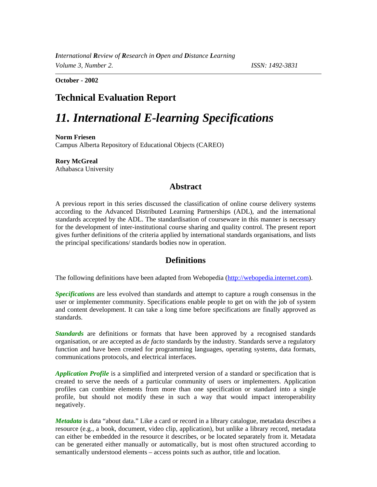**October - 2002** 

# **Technical Evaluation Report**

# *11. International E-learning Specifications*

**Norm Friesen** Campus Alberta Repository of Educational Objects (CAREO)

**Rory McGreal** Athabasca University

# **Abstract**

A previous report in this series discussed the classification of online course delivery systems according to the Advanced Distributed Learning Partnerships (ADL), and the international standards accepted by the ADL. The standardisation of courseware in this manner is necessary for the development of inter-institutional course sharing and quality control. The present report gives further definitions of the criteria applied by international standards organisations, and lists the principal specifications/ standards bodies now in operation.

## **Definitions**

The following definitions have been adapted from Webopedia ([http://webopedia.internet.com\)](http://webopedia.internet.com/).

*Specifications* are less evolved than standards and attempt to capture a rough consensus in the user or implementer community. Specifications enable people to get on with the job of system and content development. It can take a long time before specifications are finally approved as standards.

*Standards* are definitions or formats that have been approved by a recognised standards organisation, or are accepted as *de facto* standards by the industry. Standards serve a regulatory function and have been created for programming languages, operating systems, data formats, communications protocols, and electrical interfaces.

*Application Profile* is a simplified and interpreted version of a standard or specification that is created to serve the needs of a particular community of users or implementers. Application profiles can combine elements from more than one specification or standard into a single profile, but should not modify these in such a way that would impact interoperability negatively.

*Metadata* is data "about data." Like a card or record in a library catalogue, metadata describes a resource (e.g., a book, document, video clip, application), but unlike a library record, metadata can either be embedded in the resource it describes, or be located separately from it. Metadata can be generated either manually or automatically, but is most often structured according to semantically understood elements – access points such as author, title and location.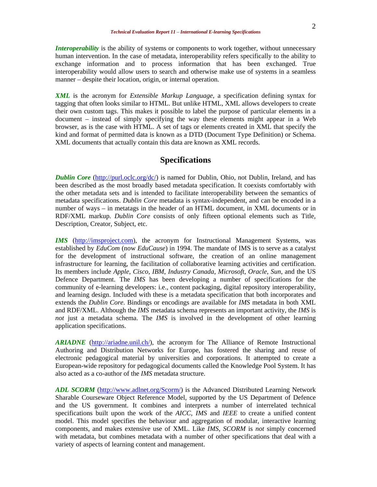*Interoperability* is the ability of systems or components to work together, without unnecessary human intervention. In the case of metadata, interoperability refers specifically to the ability to exchange information and to process information that has been exchanged. True interoperability would allow users to search and otherwise make use of systems in a seamless manner – despite their location, origin, or internal operation.

*XML* is the acronym for *Extensible Markup Language*, a specification defining syntax for tagging that often looks similar to HTML. But unlike HTML, XML allows developers to create their own custom tags. This makes it possible to label the purpose of particular elements in a document – instead of simply specifying the way these elements might appear in a Web browser, as is the case with HTML. A set of tags or elements created in XML that specify the kind and format of permitted data is known as a DTD (Document Type Definition) or Schema. XML documents that actually contain this data are known as XML records.

# **Specifications**

*Dublin Core* ([http://purl.oclc.org/dc/\)](http://purl.oclc.org/dc/) is named for Dublin, Ohio, not Dublin, Ireland, and has been described as the most broadly based metadata specification. It coexists comfortably with the other metadata sets and is intended to facilitate interoperability between the semantics of metadata specifications. *Dublin Core* metadata is syntax-independent, and can be encoded in a number of ways – in metatags in the header of an HTML document, in XML documents or in RDF/XML markup. *Dublin Core* consists of only fifteen optional elements such as Title, Description, Creator, Subject, etc.

**IMS** ([http://imsproject.com](http://imsproject.com/)), the acronym for Instructional Management Systems, was established by *EduCom* (now *EduCause*) in 1994. The mandate of IMS is to serve as a catalyst for the development of instructional software, the creation of an online management infrastructure for learning, the facilitation of collaborative learning activities and certification. Its members include *Apple*, *Cisco*, *IBM*, *Industry Canada*, *Microsoft*, *Oracle*, *Sun*, and the US Defence Department. The *IMS* has been developing a number of specifications for the community of e-learning developers: i.e., content packaging, digital repository interoperability, and learning design. Included with these is a metadata specification that both incorporates and extends the *Dublin Core*. Bindings or encodings are available for *IMS* metadata in both XML and RDF/XML. Although the *IMS* metadata schema represents an important activity, the *IMS* is *not* just a metadata schema. The *IMS* is involved in the development of other learning application specifications.

*ARIADNE* ([http://ariadne.unil.ch/\)](http://ariadne.unil.ch/), the acronym for The Alliance of Remote Instructional Authoring and Distribution Networks for Europe, has fostered the sharing and reuse of electronic pedagogical material by universities and corporations. It attempted to create a European-wide repository for pedagogical documents called the Knowledge Pool System. It has also acted as a co-author of the *IMS* metadata structure.

*ADL SCORM* ([http://www.adlnet.org/Scorm/\)](http://www.adlnet.org/Scorm/) is the Advanced Distributed Learning Network Sharable Courseware Object Reference Model*,* supported by the US Department of Defence and the US government. It combines and interprets a number of interrelated technical specifications built upon the work of the *AICC*, *IMS* and *IEEE* to create a unified content model. This model specifies the behaviour and aggregation of modular, interactive learning components, and makes extensive use of XML. Like *IMS*, *SCORM* is *not* simply concerned with metadata, but combines metadata with a number of other specifications that deal with a variety of aspects of learning content and management.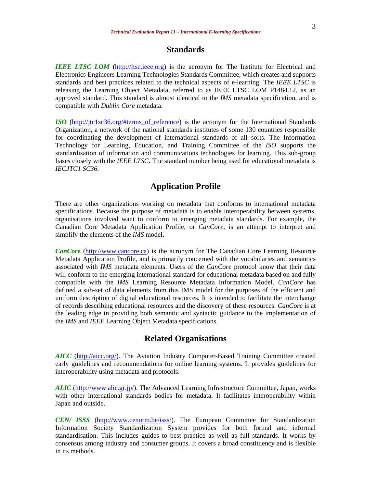#### **Standards**

*IEEE LTSC LOM* ([http://ltsc.ieee.org](http://ltsc.ieee.org/)) is the acronym for The Institute for Electrical and Electronics Engineers Learning Technologies Standards Committee, which creates and supports standards and best practices related to the technical aspects of e-learning. The *IEEE LTSC* is releasing the Learning Object Metadata, referred to as IEEE LTSC LOM P1484.12, as an approved standard. This standard is almost identical to the *IMS* metadata specification, and is compatible with *Dublin Core* metadata.

*ISO* ([http://jtc1sc36.org/#terms\\_of\\_reference](http://jtc1sc36.org/#terms_of_reference)) is the acronym for the International Standards Organization, a network of the national standards institutes of some 130 countries responsible for coordinating the development of international standards of all sorts. The Information Technology for Learning, Education, and Training Committee of the *ISO* supports the standardisation of information and communications technologies for learning. This sub-group liases closely with the *IEEE LTSC*. The standard number being used for educational metadata is *IECJTC1 SC36.*

### **Application Profile**

There are other organizations working on metadata that conforms to international metadata specifications. Because the purpose of metadata is to enable interoperability between systems, organisations involved want to conform to emerging metadata standards. For example, the Canadian Core Metadata Application Profile, or *CanCore*, is an attempt to interpret and simplify the elements of the *IMS* model.

*CanCore* ([http://www.cancore.ca](http://www.cancore.ca/)) is the acronym for The Canadian Core Learning Resource Metadata Application Profile, and is primarily concerned with the vocabularies and semantics associated with *IMS* metadata elements. Users of the *CanCore* protocol know that their data will conform to the emerging international standard for educational metadata based on and fully compatible with the *IMS* Learning Resource Metadata Information Model. *CanCore* has defined a sub-set of data elements from this IMS model for the purposes of the efficient and uniform description of digital educational resources. It is intended to facilitate the interchange of records describing educational resources and the discovery of these resources. *CanCore* is at the leading edge in providing both semantic and syntactic guidance to the implementation of the *IMS* and *IEEE* Learning Object Metadata specifications.

### **Related Organisations**

*AICC* [\(http://aicc.org/](http://aicc.org/)). The Aviation Industry Computer-Based Training Committee created early guidelines and recommendations for online learning systems. It provides guidelines for interoperability using metadata and protocols.

*ALIC* [\(http://www.alic.gr.jp/](http://www.alic.gr.jp/)). The Advanced Learning Infrastructure Committee, Japan, works with other international standards bodies for metadata. It facilitates interoperability within Japan and outside.

*CEN/ ISSS* [\(http://www.cenorm.be/isss/](http://www.cenorm.be/isss/)). The European Committee for Standardization Information Society Standardization System provides for both formal and informal standardisation. This includes guides to best practice as well as full standards. It works by consensus among industry and consumer groups. It covers a broad constituency and is flexible in its methods.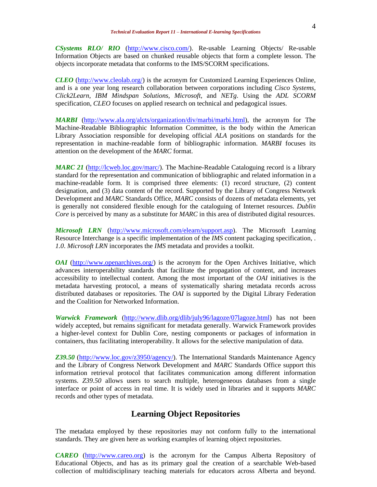objects incorporate metadata that conforms to the IMS/SCORM specifications.

*CSystems RLO/ RIO* ([http://www.cisco.com/\)](http://www.cisco.com/). Re-usable Learning Objects/ Re-usable Information Objects are based on chunked reusable objects that form a complete lesson. The

*CLEO* [\(http://www.cleolab.org/\)](http://www.cleolab.org/) is the acronym for Customized Learning Experiences Online, and is a one year long research collaboration between corporations including *Cisco Systems*, *Click2Learn*, *IBM Mindspan Solutions*, *Microsoft*, and *NETg*. Using the *ADL SCORM* specification, *CLEO* focuses on applied research on technical and pedagogical issues.

*MARBI* [\(http://www.ala.org/alcts/organization/div/marbi/marbi.html](http://www.ala.org/alcts/organization/div/marbi/marbi.html)), the acronym for The Machine-Readable Bibliographic Information Committee, is the body within the American Library Association responsible for developing official *ALA* positions on standards for the representation in machine-readable form of bibliographic information. *MARBI* focuses its attention on the development of the *MARC* format.

*MARC 21* [\(http://lcweb.loc.gov/marc/](http://lcweb.loc.gov/marc/)). The Machine-Readable Cataloguing record is a library standard for the representation and communication of bibliographic and related information in a machine-readable form. It is comprised three elements: (1) record structure, (2) content designation, and (3) data content of the record. Supported by the Library of Congress Network Development and *MARC* Standards Office, *MARC* consists of dozens of metadata elements, yet is generally not considered flexible enough for the cataloguing of Internet resources. *Dublin Core* is perceived by many as a substitute for *MARC* in this area of distributed digital resources.

*Microsoft LRN* [\(http://www.microsoft.com/elearn/support.asp](http://www.microsoft.com/elearn/support.asp)). The Microsoft Learning Resource Interchange is a specific implementation of the *IMS* content packaging specification, . *1.0*. *Microsoft LRN* incorporates the *IMS* metadata and provides a toolkit.

*OAI* (<http://www.openarchives.org/>) is the acronym for the Open Archives Initiative, which advances interoperability standards that facilitate the propagation of content, and increases accessibility to intellectual content. Among the most important of the *OAI* initiatives is the metadata harvesting protocol, a means of systematically sharing metadata records across distributed databases or repositories. The *OAI* is supported by the Digital Library Federation and the Coalition for Networked Information.

*Warwick Framework* ([http://www.dlib.org/dlib/july96/lagoze/07lagoze.html\)](http://www.dlib.org/dlib/july96/lagoze/07lagoze.html) has not been widely accepted, but remains significant for metadata generally. Warwick Framework provides a higher-level context for Dublin Core, nesting components or packages of information in containers, thus facilitating interoperability. It allows for the selective manipulation of data.

*Z39.50* (<http://www.loc.gov/z3950/agency/>). The International Standards Maintenance Agency and the Library of Congress Network Development and *MARC* Standards Office support this information retrieval protocol that facilitates communication among different information systems. *Z39.50* allows users to search multiple, heterogeneous databases from a single interface or point of access in real time. It is widely used in libraries and it supports *MARC* records and other types of metadata.

### **Learning Object Repositories**

The metadata employed by these repositories may not conform fully to the international standards. They are given here as working examples of learning object repositories.

*CAREO* [\(http://www.careo.org](http://www.careo.org/)) is the acronym for the Campus Alberta Repository of Educational Objects, and has as its primary goal the creation of a searchable Web-based collection of multidisciplinary teaching materials for educators across Alberta and beyond.